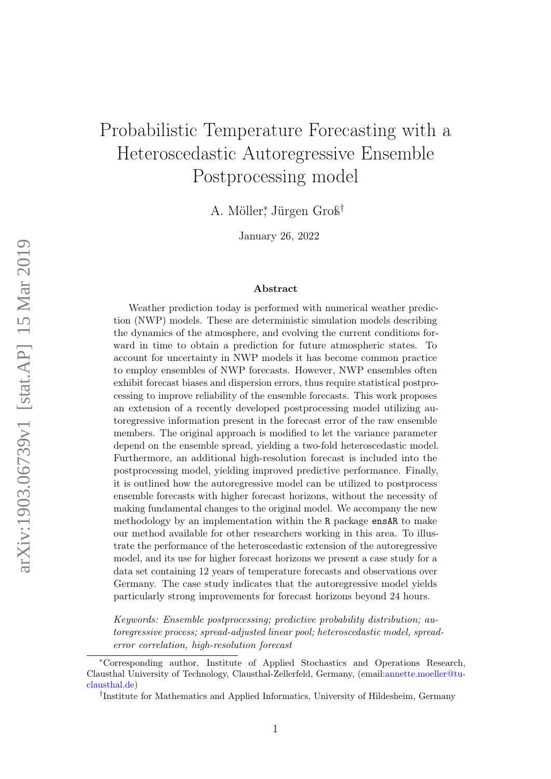# Probabilistic Temperature Forecasting with a Heteroscedastic Autoregressive Ensemble Postprocessing model

A. Möller<sup>∗</sup> , Jürgen Groß†

January 26, 2022

#### Abstract

Weather prediction today is performed with numerical weather prediction (NWP) models. These are deterministic simulation models describing the dynamics of the atmosphere, and evolving the current conditions forward in time to obtain a prediction for future atmospheric states. To account for uncertainty in NWP models it has become common practice to employ ensembles of NWP forecasts. However, NWP ensembles often exhibit forecast biases and dispersion errors, thus require statistical postprocessing to improve reliability of the ensemble forecasts. This work proposes an extension of a recently developed postprocessing model utilizing autoregressive information present in the forecast error of the raw ensemble members. The original approach is modified to let the variance parameter depend on the ensemble spread, yielding a two-fold heteroscedastic model. Furthermore, an additional high-resolution forecast is included into the postprocessing model, yielding improved predictive performance. Finally, it is outlined how the autoregressive model can be utilized to postprocess ensemble forecasts with higher forecast horizons, without the necessity of making fundamental changes to the original model. We accompany the new methodology by an implementation within the R package ensAR to make our method available for other researchers working in this area. To illustrate the performance of the heteroscedastic extension of the autoregressive model, and its use for higher forecast horizons we present a case study for a data set containing 12 years of temperature forecasts and observations over Germany. The case study indicates that the autoregressive model yields particularly strong improvements for forecast horizons beyond 24 hours.

Keywords: Ensemble postprocessing; predictive probability distribution; autoregressive process; spread-adjusted linear pool; heteroscedastic model, spreaderror correlation, high-resolution forecast

<sup>∗</sup>Corresponding author, Institute of Applied Stochastics and Operations Research, Clausthal University of Technology, Clausthal-Zellerfeld, Germany, (email[:annette.moeller@tu](mailto:annette.moeller@tu-clausthal.de)[clausthal.de\)](mailto:annette.moeller@tu-clausthal.de)

<sup>†</sup> Institute for Mathematics and Applied Informatics, University of Hildesheim, Germany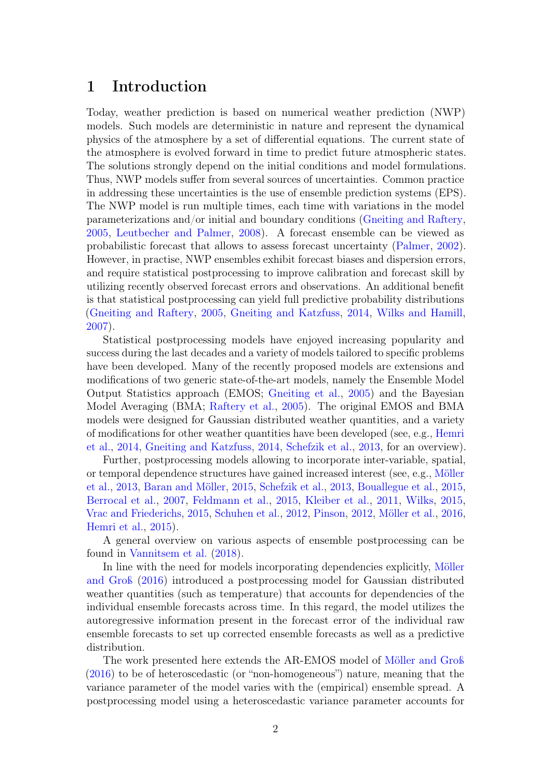## 1 Introduction

Today, weather prediction is based on numerical weather prediction (NWP) models. Such models are deterministic in nature and represent the dynamical physics of the atmosphere by a set of differential equations. The current state of the atmosphere is evolved forward in time to predict future atmospheric states. The solutions strongly depend on the initial conditions and model formulations. Thus, NWP models suffer from several sources of uncertainties. Common practice in addressing these uncertainties is the use of ensemble prediction systems (EPS). The NWP model is run multiple times, each time with variations in the model parameterizations and/or initial and boundary conditions [\(Gneiting and Raftery,](#page-21-0) [2005,](#page-21-0) [Leutbecher and Palmer,](#page-22-0) [2008\)](#page-22-0). A forecast ensemble can be viewed as probabilistic forecast that allows to assess forecast uncertainty [\(Palmer,](#page-23-0) [2002\)](#page-23-0). However, in practise, NWP ensembles exhibit forecast biases and dispersion errors, and require statistical postprocessing to improve calibration and forecast skill by utilizing recently observed forecast errors and observations. An additional benefit is that statistical postprocessing can yield full predictive probability distributions [\(Gneiting and Raftery,](#page-21-0) [2005,](#page-21-0) [Gneiting and Katzfuss,](#page-21-1) [2014,](#page-21-1) [Wilks and Hamill,](#page-24-0) [2007\)](#page-24-0).

Statistical postprocessing models have enjoyed increasing popularity and success during the last decades and a variety of models tailored to specific problems have been developed. Many of the recently proposed models are extensions and modifications of two generic state-of-the-art models, namely the Ensemble Model Output Statistics approach (EMOS; [Gneiting et al.,](#page-21-2) [2005\)](#page-21-2) and the Bayesian Model Averaging (BMA; [Raftery et al.,](#page-23-1) [2005\)](#page-23-1). The original EMOS and BMA models were designed for Gaussian distributed weather quantities, and a variety of modifications for other weather quantities have been developed (see, e.g., [Hemri](#page-22-1) [et al.,](#page-22-1) [2014,](#page-22-1) [Gneiting and Katzfuss,](#page-21-1) [2014,](#page-21-1) [Schefzik et al.,](#page-23-2) [2013,](#page-23-2) for an overview).

Further, postprocessing models allowing to incorporate inter-variable, spatial, or temporal dependence structures have gained increased interest (see, e.g., [Möller](#page-23-3) [et al.,](#page-23-3) [2013,](#page-23-3) [Baran and Möller,](#page-20-0) [2015,](#page-20-0) [Schefzik et al.,](#page-23-2) [2013,](#page-23-2) [Bouallegue et al.,](#page-20-1) [2015,](#page-20-1) [Berrocal et al.,](#page-20-2) [2007,](#page-20-2) [Feldmann et al.,](#page-21-3) [2015,](#page-21-3) [Kleiber et al.,](#page-22-2) [2011,](#page-22-2) [Wilks,](#page-24-1) [2015,](#page-24-1) [Vrac and Friederichs,](#page-24-2) [2015,](#page-24-2) [Schuhen et al.,](#page-24-3) [2012,](#page-24-3) [Pinson,](#page-23-4) [2012,](#page-23-4) [Möller et al.,](#page-23-5) [2016,](#page-23-5) [Hemri et al.,](#page-22-3) [2015\)](#page-22-3).

A general overview on various aspects of ensemble postprocessing can be found in [Vannitsem et al.](#page-24-4) [\(2018\)](#page-24-4).

In line with the need for models incorporating dependencies explicitly, [Möller](#page-23-6) [and Groß](#page-23-6) [\(2016\)](#page-23-6) introduced a postprocessing model for Gaussian distributed weather quantities (such as temperature) that accounts for dependencies of the individual ensemble forecasts across time. In this regard, the model utilizes the autoregressive information present in the forecast error of the individual raw ensemble forecasts to set up corrected ensemble forecasts as well as a predictive distribution.

The work presented here extends the AR-EMOS model of [Möller and Groß](#page-23-6) [\(2016\)](#page-23-6) to be of heteroscedastic (or "non-homogeneous") nature, meaning that the variance parameter of the model varies with the (empirical) ensemble spread. A postprocessing model using a heteroscedastic variance parameter accounts for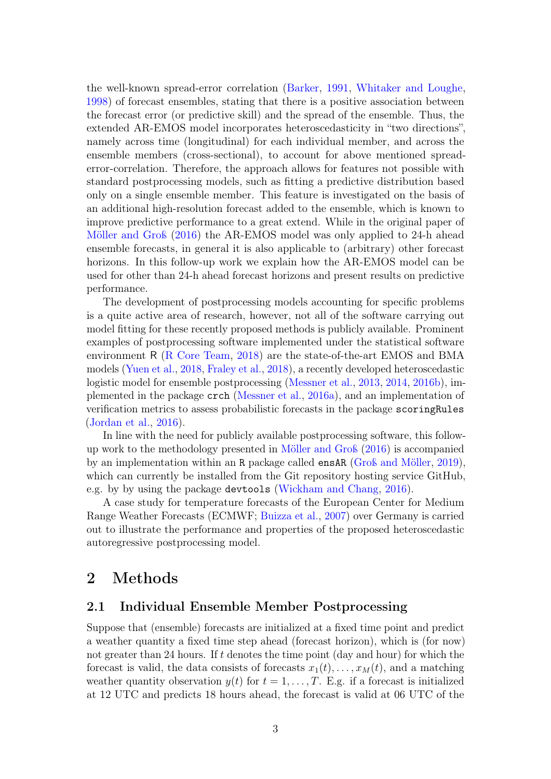the well-known spread-error correlation [\(Barker,](#page-20-3) [1991,](#page-20-3) [Whitaker and Loughe,](#page-24-5) [1998\)](#page-24-5) of forecast ensembles, stating that there is a positive association between the forecast error (or predictive skill) and the spread of the ensemble. Thus, the extended AR-EMOS model incorporates heteroscedasticity in "two directions", namely across time (longitudinal) for each individual member, and across the ensemble members (cross-sectional), to account for above mentioned spreaderror-correlation. Therefore, the approach allows for features not possible with standard postprocessing models, such as fitting a predictive distribution based only on a single ensemble member. This feature is investigated on the basis of an additional high-resolution forecast added to the ensemble, which is known to improve predictive performance to a great extend. While in the original paper of [Möller and Groß](#page-23-6) [\(2016\)](#page-23-6) the AR-EMOS model was only applied to 24-h ahead ensemble forecasts, in general it is also applicable to (arbitrary) other forecast horizons. In this follow-up work we explain how the AR-EMOS model can be used for other than 24-h ahead forecast horizons and present results on predictive performance.

The development of postprocessing models accounting for specific problems is a quite active area of research, however, not all of the software carrying out model fitting for these recently proposed methods is publicly available. Prominent examples of postprocessing software implemented under the statistical software environment R [\(R Core Team,](#page-23-7) [2018\)](#page-23-7) are the state-of-the-art EMOS and BMA models [\(Yuen et al.,](#page-24-6) [2018,](#page-24-6) [Fraley et al.,](#page-21-4) [2018\)](#page-21-4), a recently developed heteroscedastic logistic model for ensemble postprocessing [\(Messner et al.,](#page-23-8) [2013,](#page-23-8) [2014,](#page-22-4) [2016b\)](#page-22-5), implemented in the package crch [\(Messner et al.,](#page-22-6) [2016a\)](#page-22-6), and an implementation of verification metrics to assess probabilistic forecasts in the package scoringRules [\(Jordan et al.,](#page-22-7) [2016\)](#page-22-7).

In line with the need for publicly available postprocessing software, this followup work to the methodology presented in [Möller and Groß](#page-23-6) [\(2016\)](#page-23-6) is accompanied by an implementation within an R package called ensAR [\(Groß and Möller,](#page-22-8) [2019\)](#page-22-8), which can currently be installed from the Git repository hosting service GitHub, e.g. by by using the package devtools [\(Wickham and Chang,](#page-24-7) [2016\)](#page-24-7).

A case study for temperature forecasts of the European Center for Medium Range Weather Forecasts (ECMWF; [Buizza et al.,](#page-20-4) [2007\)](#page-20-4) over Germany is carried out to illustrate the performance and properties of the proposed heteroscedastic autoregressive postprocessing model.

## 2 Methods

## <span id="page-2-0"></span>2.1 Individual Ensemble Member Postprocessing

Suppose that (ensemble) forecasts are initialized at a fixed time point and predict a weather quantity a fixed time step ahead (forecast horizon), which is (for now) not greater than 24 hours. If  $t$  denotes the time point (day and hour) for which the forecast is valid, the data consists of forecasts  $x_1(t), \ldots, x_M(t)$ , and a matching weather quantity observation  $y(t)$  for  $t = 1, \ldots, T$ . E.g. if a forecast is initialized at 12 UTC and predicts 18 hours ahead, the forecast is valid at 06 UTC of the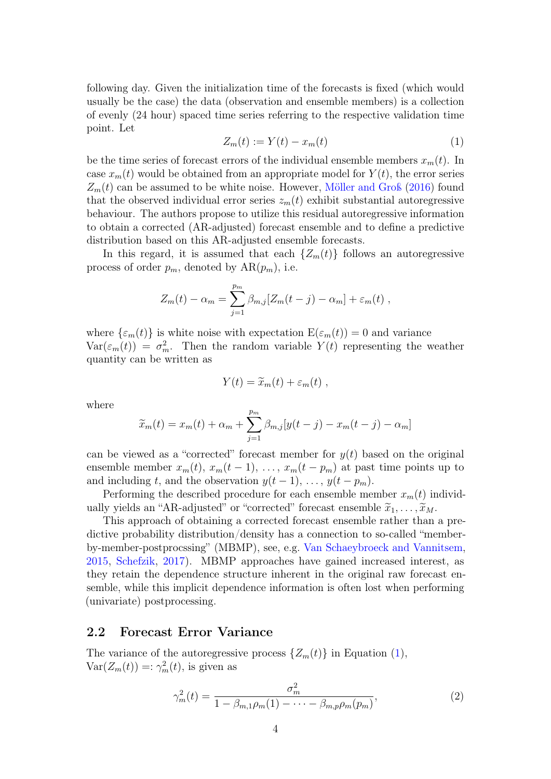following day. Given the initialization time of the forecasts is fixed (which would usually be the case) the data (observation and ensemble members) is a collection of evenly (24 hour) spaced time series referring to the respective validation time point. Let

<span id="page-3-0"></span>
$$
Z_m(t) := Y(t) - x_m(t) \tag{1}
$$

be the time series of forecast errors of the individual ensemble members  $x_m(t)$ . In case  $x_m(t)$  would be obtained from an appropriate model for  $Y(t)$ , the error series  $Z_m(t)$  can be assumed to be white noise. However, [Möller and Groß](#page-23-6) [\(2016\)](#page-23-6) found that the observed individual error series  $z_m(t)$  exhibit substantial autoregressive behaviour. The authors propose to utilize this residual autoregressive information to obtain a corrected (AR-adjusted) forecast ensemble and to define a predictive distribution based on this AR-adjusted ensemble forecasts.

In this regard, it is assumed that each  $\{Z_m(t)\}\$ follows an autoregressive process of order  $p_m$ , denoted by  $AR(p_m)$ , i.e.

$$
Z_m(t) - \alpha_m = \sum_{j=1}^{p_m} \beta_{m,j} [Z_m(t-j) - \alpha_m] + \varepsilon_m(t) ,
$$

where  $\{\varepsilon_m(t)\}\$ is white noise with expectation  $E(\varepsilon_m(t))=0$  and variance  $Var(\epsilon_m(t)) = \sigma_m^2$ . Then the random variable  $Y(t)$  representing the weather quantity can be written as

$$
Y(t) = \widetilde{x}_m(t) + \varepsilon_m(t) ,
$$

where

$$
\widetilde{x}_m(t) = x_m(t) + \alpha_m + \sum_{j=1}^{p_m} \beta_{m,j} [y(t-j) - x_m(t-j) - \alpha_m]
$$

can be viewed as a "corrected" forecast member for  $y(t)$  based on the original ensemble member  $x_m(t), x_m(t-1), \ldots, x_m(t-p_m)$  at past time points up to and including t, and the observation  $y(t-1), \ldots, y(t-p_m)$ .

Performing the described procedure for each ensemble member  $x_m(t)$  individually yields an "AR-adjusted" or "corrected" forecast ensemble  $\tilde{x}_1, \ldots, \tilde{x}_M$ .

This approach of obtaining a corrected forecast ensemble rather than a predictive probability distribution/density has a connection to so-called "memberby-member-postprocssing" (MBMP), see, e.g. [Van Schaeybroeck and Vannitsem,](#page-24-8) [2015,](#page-24-8) [Schefzik,](#page-23-9) [2017\)](#page-23-9). MBMP approaches have gained increased interest, as they retain the dependence structure inherent in the original raw forecast ensemble, while this implicit dependence information is often lost when performing (univariate) postprocessing.

### 2.2 Forecast Error Variance

The variance of the autoregressive process  $\{Z_m(t)\}\$ in Equation [\(1\)](#page-3-0),  $Var(Z_m(t)) =: \gamma_m^2(t)$ , is given as

<span id="page-3-1"></span>
$$
\gamma_m^2(t) = \frac{\sigma_m^2}{1 - \beta_{m,1}\rho_m(1) - \dots - \beta_{m,p}\rho_m(p_m)},
$$
\n(2)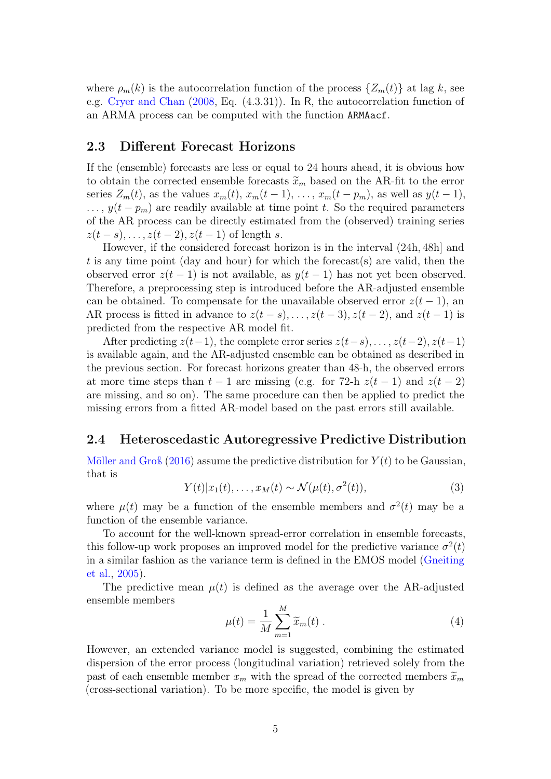where  $\rho_m(k)$  is the autocorrelation function of the process  $\{Z_m(t)\}\$ at lag k, see e.g. [Cryer and Chan](#page-21-5) [\(2008,](#page-21-5) Eq. (4.3.31)). In R, the autocorrelation function of an ARMA process can be computed with the function ARMAacf.

### <span id="page-4-2"></span>2.3 Different Forecast Horizons

If the (ensemble) forecasts are less or equal to 24 hours ahead, it is obvious how to obtain the corrected ensemble forecasts  $\tilde{x}_m$  based on the AR-fit to the error series  $Z_m(t)$ , as the values  $x_m(t)$ ,  $x_m(t-1)$ , ...,  $x_m(t-p_m)$ , as well as  $y(t-1)$ ,  $\ldots$ ,  $y(t - p_m)$  are readily available at time point t. So the required parameters of the AR process can be directly estimated from the (observed) training series  $z(t-s), \ldots, z(t-2), z(t-1)$  of length s.

However, if the considered forecast horizon is in the interval (24h, 48h] and t is any time point (day and hour) for which the forecast(s) are valid, then the observed error  $z(t-1)$  is not available, as  $y(t-1)$  has not yet been observed. Therefore, a preprocessing step is introduced before the AR-adjusted ensemble can be obtained. To compensate for the unavailable observed error  $z(t-1)$ , and AR process is fitted in advance to  $z(t-s), \ldots, z(t-3), z(t-2)$ , and  $z(t-1)$  is predicted from the respective AR model fit.

After predicting  $z(t-1)$ , the complete error series  $z(t-s), \ldots, z(t-2), z(t-1)$ is available again, and the AR-adjusted ensemble can be obtained as described in the previous section. For forecast horizons greater than 48-h, the observed errors at more time steps than  $t-1$  are missing (e.g. for 72-h  $z(t-1)$ ) and  $z(t-2)$ are missing, and so on). The same procedure can then be applied to predict the missing errors from a fitted AR-model based on the past errors still available.

### <span id="page-4-1"></span>2.4 Heteroscedastic Autoregressive Predictive Distribution

[Möller and Groß](#page-23-6) [\(2016\)](#page-23-6) assume the predictive distribution for  $Y(t)$  to be Gaussian, that is

$$
Y(t)|x_1(t),\ldots,x_M(t) \sim \mathcal{N}(\mu(t),\sigma^2(t)),\tag{3}
$$

where  $\mu(t)$  may be a function of the ensemble members and  $\sigma^2(t)$  may be a function of the ensemble variance.

To account for the well-known spread-error correlation in ensemble forecasts, this follow-up work proposes an improved model for the predictive variance  $\sigma^2(t)$ in a similar fashion as the variance term is defined in the EMOS model [\(Gneiting](#page-21-2) [et al.,](#page-21-2) [2005\)](#page-21-2).

The predictive mean  $\mu(t)$  is defined as the average over the AR-adjusted ensemble members

<span id="page-4-0"></span>
$$
\mu(t) = \frac{1}{M} \sum_{m=1}^{M} \widetilde{x}_m(t) . \tag{4}
$$

However, an extended variance model is suggested, combining the estimated dispersion of the error process (longitudinal variation) retrieved solely from the past of each ensemble member  $x_m$  with the spread of the corrected members  $\widetilde{x}_m$ (cross-sectional variation). To be more specific, the model is given by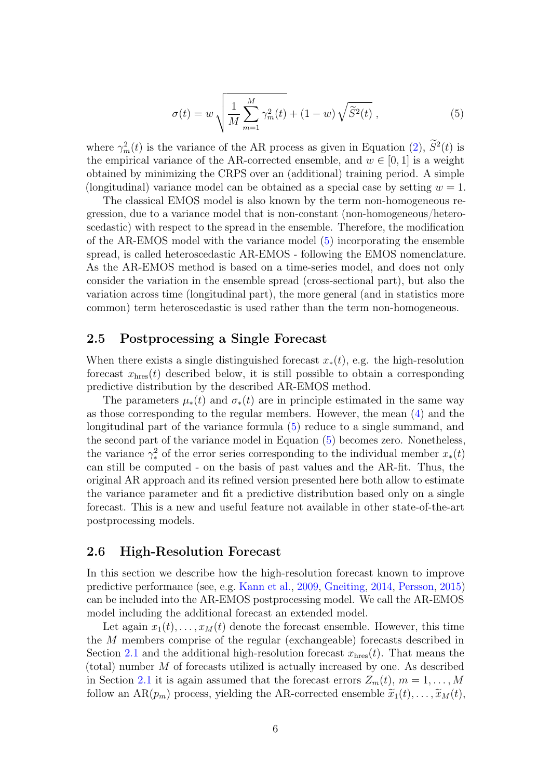<span id="page-5-0"></span>
$$
\sigma(t) = w \sqrt{\frac{1}{M} \sum_{m=1}^{M} \gamma_m^2(t) + (1 - w) \sqrt{\tilde{S}^2(t)}},
$$
\n(5)

where  $\gamma_m^2(t)$  is the variance of the AR process as given in Equation [\(2\)](#page-3-1),  $S^2(t)$  is the empirical variance of the AR-corrected ensemble, and  $w \in [0, 1]$  is a weight obtained by minimizing the CRPS over an (additional) training period. A simple (longitudinal) variance model can be obtained as a special case by setting  $w = 1$ .

The classical EMOS model is also known by the term non-homogeneous regression, due to a variance model that is non-constant (non-homogeneous/heteroscedastic) with respect to the spread in the ensemble. Therefore, the modification of the AR-EMOS model with the variance model [\(5\)](#page-5-0) incorporating the ensemble spread, is called heteroscedastic AR-EMOS - following the EMOS nomenclature. As the AR-EMOS method is based on a time-series model, and does not only consider the variation in the ensemble spread (cross-sectional part), but also the variation across time (longitudinal part), the more general (and in statistics more common) term heteroscedastic is used rather than the term non-homogeneous.

## 2.5 Postprocessing a Single Forecast

When there exists a single distinguished forecast  $x_*(t)$ , e.g. the high-resolution forecast  $x_{\text{hres}}(t)$  described below, it is still possible to obtain a corresponding predictive distribution by the described AR-EMOS method.

The parameters  $\mu_*(t)$  and  $\sigma_*(t)$  are in principle estimated in the same way as those corresponding to the regular members. However, the mean [\(4\)](#page-4-0) and the longitudinal part of the variance formula [\(5\)](#page-5-0) reduce to a single summand, and the second part of the variance model in Equation [\(5\)](#page-5-0) becomes zero. Nonetheless, the variance  $\gamma_*^2$  of the error series corresponding to the individual member  $x_*(t)$ can still be computed - on the basis of past values and the AR-fit. Thus, the original AR approach and its refined version presented here both allow to estimate the variance parameter and fit a predictive distribution based only on a single forecast. This is a new and useful feature not available in other state-of-the-art postprocessing models.

## <span id="page-5-1"></span>2.6 High-Resolution Forecast

In this section we describe how the high-resolution forecast known to improve predictive performance (see, e.g. [Kann et al.,](#page-22-9) [2009,](#page-22-9) [Gneiting,](#page-21-6) [2014,](#page-21-6) [Persson,](#page-23-10) [2015\)](#page-23-10) can be included into the AR-EMOS postprocessing model. We call the AR-EMOS model including the additional forecast an extended model.

Let again  $x_1(t), \ldots, x_M(t)$  denote the forecast ensemble. However, this time the M members comprise of the regular (exchangeable) forecasts described in Section [2.1](#page-2-0) and the additional high-resolution forecast  $x_{\text{hres}}(t)$ . That means the (total) number  $M$  of forecasts utilized is actually increased by one. As described in Section [2.1](#page-2-0) it is again assumed that the forecast errors  $Z_m(t)$ ,  $m = 1, \ldots, M$ follow an AR( $p_m$ ) process, yielding the AR-corrected ensemble  $\tilde{x}_1(t), \ldots, \tilde{x}_M(t)$ ,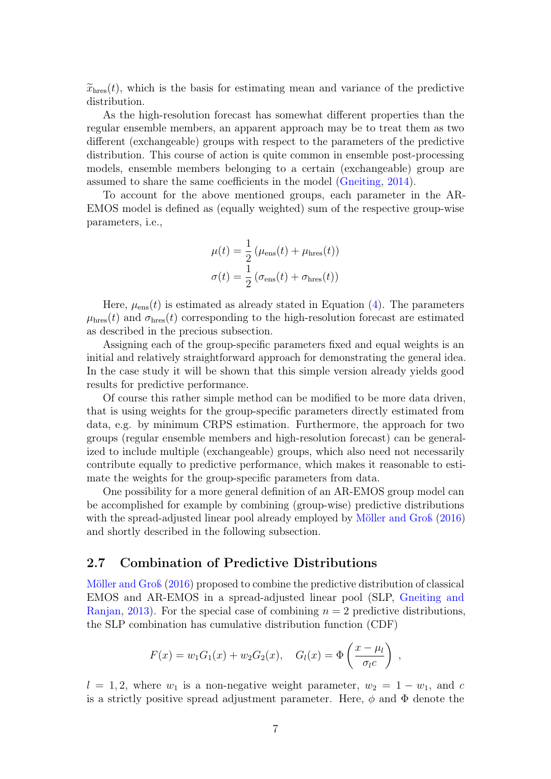$\widetilde{x}_{\text{hres}}(t)$ , which is the basis for estimating mean and variance of the predictive distribution.

As the high-resolution forecast has somewhat different properties than the regular ensemble members, an apparent approach may be to treat them as two different (exchangeable) groups with respect to the parameters of the predictive distribution. This course of action is quite common in ensemble post-processing models, ensemble members belonging to a certain (exchangeable) group are assumed to share the same coefficients in the model [\(Gneiting,](#page-21-6) [2014\)](#page-21-6).

To account for the above mentioned groups, each parameter in the AR-EMOS model is defined as (equally weighted) sum of the respective group-wise parameters, i.e.,

$$
\mu(t) = \frac{1}{2} \left( \mu_{\text{ens}}(t) + \mu_{\text{hres}}(t) \right)
$$

$$
\sigma(t) = \frac{1}{2} \left( \sigma_{\text{ens}}(t) + \sigma_{\text{hres}}(t) \right)
$$

Here,  $\mu_{\text{ens}}(t)$  is estimated as already stated in Equation [\(4\)](#page-4-0). The parameters  $\mu_{\text{hres}}(t)$  and  $\sigma_{\text{hres}}(t)$  corresponding to the high-resolution forecast are estimated as described in the precious subsection.

Assigning each of the group-specific parameters fixed and equal weights is an initial and relatively straightforward approach for demonstrating the general idea. In the case study it will be shown that this simple version already yields good results for predictive performance.

Of course this rather simple method can be modified to be more data driven, that is using weights for the group-specific parameters directly estimated from data, e.g. by minimum CRPS estimation. Furthermore, the approach for two groups (regular ensemble members and high-resolution forecast) can be generalized to include multiple (exchangeable) groups, which also need not necessarily contribute equally to predictive performance, which makes it reasonable to estimate the weights for the group-specific parameters from data.

One possibility for a more general definition of an AR-EMOS group model can be accomplished for example by combining (group-wise) predictive distributions with the spread-adjusted linear pool already employed by [Möller and Groß](#page-23-6) [\(2016\)](#page-23-6) and shortly described in the following subsection.

### <span id="page-6-0"></span>2.7 Combination of Predictive Distributions

[Möller and Groß](#page-23-6) [\(2016\)](#page-23-6) proposed to combine the predictive distribution of classical EMOS and AR-EMOS in a spread-adjusted linear pool (SLP, [Gneiting and](#page-21-7) [Ranjan,](#page-21-7) [2013\)](#page-21-7). For the special case of combining  $n = 2$  predictive distributions, the SLP combination has cumulative distribution function (CDF)

$$
F(x) = w_1 G_1(x) + w_2 G_2(x), \quad G_l(x) = \Phi\left(\frac{x - \mu_l}{\sigma_l c}\right) ,
$$

 $l = 1, 2$ , where  $w_1$  is a non-negative weight parameter,  $w_2 = 1 - w_1$ , and c is a strictly positive spread adjustment parameter. Here,  $\phi$  and  $\Phi$  denote the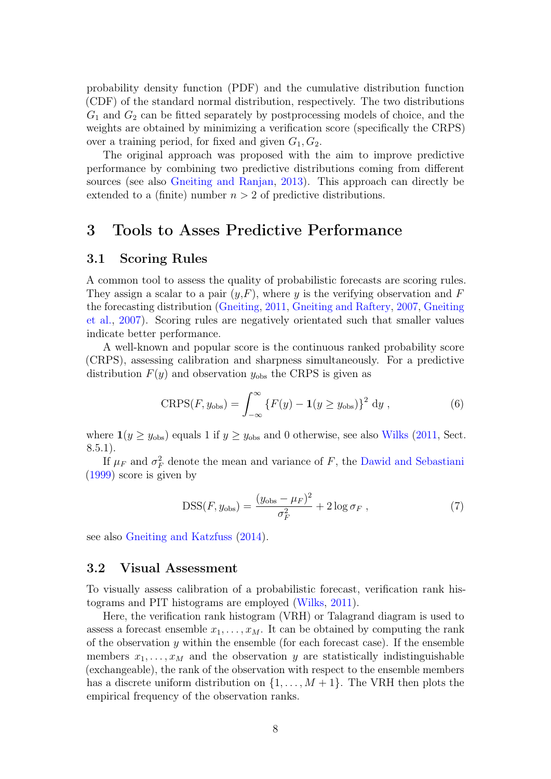probability density function (PDF) and the cumulative distribution function (CDF) of the standard normal distribution, respectively. The two distributions  $G_1$  and  $G_2$  can be fitted separately by postprocessing models of choice, and the weights are obtained by minimizing a verification score (specifically the CRPS) over a training period, for fixed and given  $G_1, G_2$ .

The original approach was proposed with the aim to improve predictive performance by combining two predictive distributions coming from different sources (see also [Gneiting and Ranjan,](#page-21-7) [2013\)](#page-21-7). This approach can directly be extended to a (finite) number  $n > 2$  of predictive distributions.

## 3 Tools to Asses Predictive Performance

## 3.1 Scoring Rules

A common tool to assess the quality of probabilistic forecasts are scoring rules. They assign a scalar to a pair  $(y, F)$ , where y is the verifying observation and F the forecasting distribution [\(Gneiting,](#page-21-8) [2011,](#page-21-8) [Gneiting and Raftery,](#page-21-9) [2007,](#page-21-9) [Gneiting](#page-21-10) [et al.,](#page-21-10) [2007\)](#page-21-10). Scoring rules are negatively orientated such that smaller values indicate better performance.

A well-known and popular score is the continuous ranked probability score (CRPS), assessing calibration and sharpness simultaneously. For a predictive distribution  $F(y)$  and observation  $y_{obs}$  the CRPS is given as

$$
CRPS(F, y_{obs}) = \int_{-\infty}^{\infty} \left\{ F(y) - \mathbf{1}(y \ge y_{obs}) \right\}^2 dy , \qquad (6)
$$

where  $\mathbf{1}(y \geq y_{\text{obs}})$  equals 1 if  $y \geq y_{\text{obs}}$  and 0 otherwise, see also [Wilks](#page-24-9) [\(2011,](#page-24-9) Sect. 8.5.1).

If  $\mu_F$  and  $\sigma_F^2$  denote the mean and variance of F, the [Dawid and Sebastiani](#page-21-11) [\(1999\)](#page-21-11) score is given by

$$
DSS(F, y_{obs}) = \frac{(y_{obs} - \mu_F)^2}{\sigma_F^2} + 2\log \sigma_F , \qquad (7)
$$

see also [Gneiting and Katzfuss](#page-21-1) [\(2014\)](#page-21-1).

#### 3.2 Visual Assessment

To visually assess calibration of a probabilistic forecast, verification rank histograms and PIT histograms are employed [\(Wilks,](#page-24-9) [2011\)](#page-24-9).

Here, the verification rank histogram (VRH) or Talagrand diagram is used to assess a forecast ensemble  $x_1, \ldots, x_M$ . It can be obtained by computing the rank of the observation  $y$  within the ensemble (for each forecast case). If the ensemble members  $x_1, \ldots, x_M$  and the observation y are statistically indistinguishable (exchangeable), the rank of the observation with respect to the ensemble members has a discrete uniform distribution on  $\{1, \ldots, M+1\}$ . The VRH then plots the empirical frequency of the observation ranks.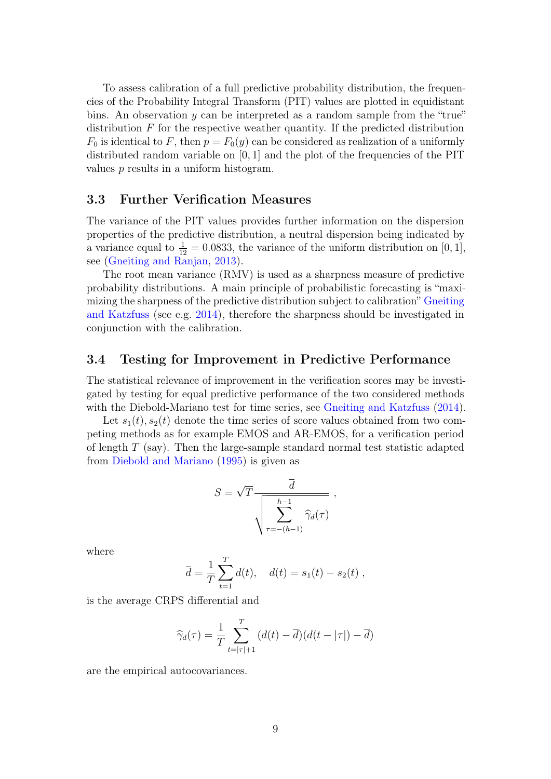To assess calibration of a full predictive probability distribution, the frequencies of the Probability Integral Transform (PIT) values are plotted in equidistant bins. An observation  $y$  can be interpreted as a random sample from the "true" distribution  $F$  for the respective weather quantity. If the predicted distribution  $F_0$  is identical to F, then  $p = F_0(y)$  can be considered as realization of a uniformly distributed random variable on  $[0, 1]$  and the plot of the frequencies of the PIT values p results in a uniform histogram.

### 3.3 Further Verification Measures

The variance of the PIT values provides further information on the dispersion properties of the predictive distribution, a neutral dispersion being indicated by a variance equal to  $\frac{1}{12} = 0.0833$ , the variance of the uniform distribution on [0, 1], see [\(Gneiting and Ranjan,](#page-21-7) [2013\)](#page-21-7).

The root mean variance (RMV) is used as a sharpness measure of predictive probability distributions. A main principle of probabilistic forecasting is "maximizing the sharpness of the predictive distribution subject to calibration" [Gneiting](#page-21-1) [and Katzfuss](#page-21-1) (see e.g. [2014\)](#page-21-1), therefore the sharpness should be investigated in conjunction with the calibration.

### 3.4 Testing for Improvement in Predictive Performance

The statistical relevance of improvement in the verification scores may be investigated by testing for equal predictive performance of the two considered methods with the Diebold-Mariano test for time series, see [Gneiting and Katzfuss](#page-21-1)  $(2014)$ .

Let  $s_1(t), s_2(t)$  denote the time series of score values obtained from two competing methods as for example EMOS and AR-EMOS, for a verification period of length  $T$  (say). Then the large-sample standard normal test statistic adapted from [Diebold and Mariano](#page-21-12) [\(1995\)](#page-21-12) is given as

$$
S = \sqrt{T} \frac{\overline{d}}{\sqrt{\sum_{\tau=-(h-1)}^{h-1} \widehat{\gamma}_d(\tau)}},
$$

where

$$
\overline{d} = \frac{1}{T} \sum_{t=1}^{T} d(t), \quad d(t) = s_1(t) - s_2(t) ,
$$

is the average CRPS differential and

$$
\widehat{\gamma}_d(\tau) = \frac{1}{T} \sum_{t=|\tau|+1}^T (d(t) - \overline{d})(d(t-|\tau|) - \overline{d})
$$

are the empirical autocovariances.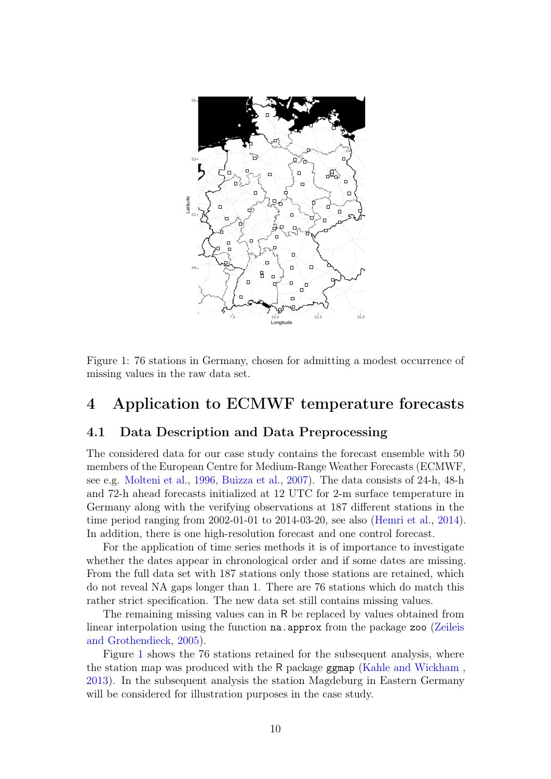

<span id="page-9-0"></span>Figure 1: 76 stations in Germany, chosen for admitting a modest occurrence of missing values in the raw data set.

## 4 Application to ECMWF temperature forecasts

## 4.1 Data Description and Data Preprocessing

The considered data for our case study contains the forecast ensemble with 50 members of the European Centre for Medium-Range Weather Forecasts (ECMWF, see e.g. [Molteni et al.,](#page-23-11) [1996,](#page-23-11) [Buizza et al.,](#page-20-4) [2007\)](#page-20-4). The data consists of 24-h, 48-h and 72-h ahead forecasts initialized at 12 UTC for 2-m surface temperature in Germany along with the verifying observations at 187 different stations in the time period ranging from 2002-01-01 to 2014-03-20, see also [\(Hemri et al.,](#page-22-1) [2014\)](#page-22-1). In addition, there is one high-resolution forecast and one control forecast.

For the application of time series methods it is of importance to investigate whether the dates appear in chronological order and if some dates are missing. From the full data set with 187 stations only those stations are retained, which do not reveal NA gaps longer than 1. There are 76 stations which do match this rather strict specification. The new data set still contains missing values.

The remaining missing values can in R be replaced by values obtained from linear interpolation using the function na.approx from the package zoo [\(Zeileis](#page-24-10) [and Grothendieck,](#page-24-10) [2005\)](#page-24-10).

Figure [1](#page-9-0) shows the 76 stations retained for the subsequent analysis, where the station map was produced with the R package ggmap [\(Kahle and Wickham](#page-22-10) , [2013\)](#page-22-10). In the subsequent analysis the station Magdeburg in Eastern Germany will be considered for illustration purposes in the case study.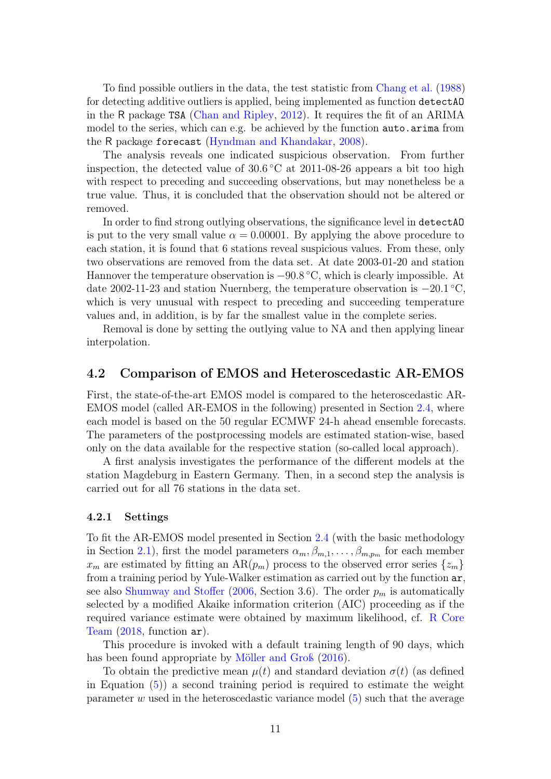To find possible outliers in the data, the test statistic from [Chang et al.](#page-20-5) [\(1988\)](#page-20-5) for detecting additive outliers is applied, being implemented as function detectAO in the R package TSA [\(Chan and Ripley,](#page-20-6) [2012\)](#page-20-6). It requires the fit of an ARIMA model to the series, which can e.g. be achieved by the function auto.arima from the R package forecast [\(Hyndman and Khandakar,](#page-22-11) [2008\)](#page-22-11).

The analysis reveals one indicated suspicious observation. From further inspection, the detected value of 30.6 ◦C at 2011-08-26 appears a bit too high with respect to preceding and succeeding observations, but may nonetheless be a true value. Thus, it is concluded that the observation should not be altered or removed.

In order to find strong outlying observations, the significance level in detectAO is put to the very small value  $\alpha = 0.00001$ . By applying the above procedure to each station, it is found that 6 stations reveal suspicious values. From these, only two observations are removed from the data set. At date 2003-01-20 and station Hannover the temperature observation is −90.8 ◦C, which is clearly impossible. At date 2002-11-23 and station Nuernberg, the temperature observation is  $-20.1\degree C$ , which is very unusual with respect to preceding and succeeding temperature values and, in addition, is by far the smallest value in the complete series.

Removal is done by setting the outlying value to NA and then applying linear interpolation.

## 4.2 Comparison of EMOS and Heteroscedastic AR-EMOS

First, the state-of-the-art EMOS model is compared to the heteroscedastic AR-EMOS model (called AR-EMOS in the following) presented in Section [2.4,](#page-4-1) where each model is based on the 50 regular ECMWF 24-h ahead ensemble forecasts. The parameters of the postprocessing models are estimated station-wise, based only on the data available for the respective station (so-called local approach).

A first analysis investigates the performance of the different models at the station Magdeburg in Eastern Germany. Then, in a second step the analysis is carried out for all 76 stations in the data set.

#### 4.2.1 Settings

To fit the AR-EMOS model presented in Section [2.4](#page-4-1) (with the basic methodology in Section [2.1\)](#page-2-0), first the model parameters  $\alpha_m, \beta_{m,1}, \ldots, \beta_{m,p_m}$  for each member  $x_m$  are estimated by fitting an AR $(p_m)$  process to the observed error series  $\{z_m\}$ from a training period by Yule-Walker estimation as carried out by the function ar, see also [Shumway and Stoffer](#page-24-11) [\(2006,](#page-24-11) Section 3.6). The order  $p_m$  is automatically selected by a modified Akaike information criterion (AIC) proceeding as if the required variance estimate were obtained by maximum likelihood, cf. [R Core](#page-23-7) [Team](#page-23-7) [\(2018,](#page-23-7) function ar).

This procedure is invoked with a default training length of 90 days, which has been found appropriate by [Möller and Groß](#page-23-6) [\(2016\)](#page-23-6).

To obtain the predictive mean  $\mu(t)$  and standard deviation  $\sigma(t)$  (as defined in Equation  $(5)$  a second training period is required to estimate the weight parameter  $w$  used in the heteroscedastic variance model  $(5)$  such that the average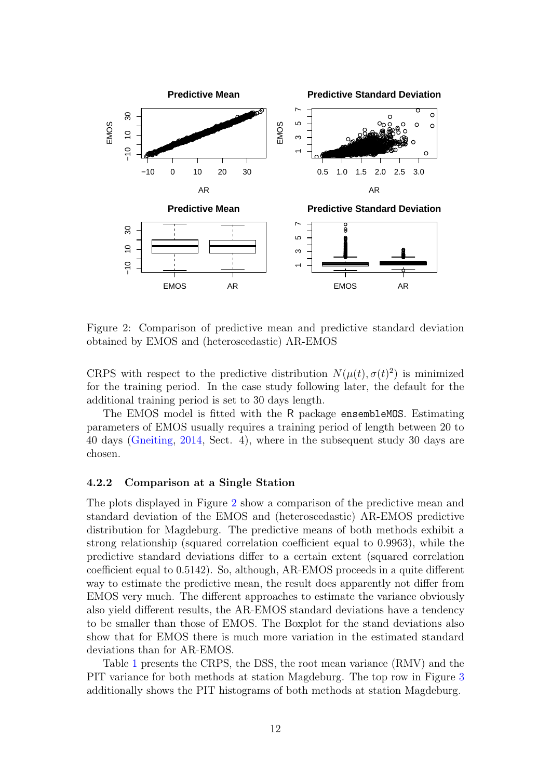

<span id="page-11-0"></span>Figure 2: Comparison of predictive mean and predictive standard deviation obtained by EMOS and (heteroscedastic) AR-EMOS

CRPS with respect to the predictive distribution  $N(\mu(t), \sigma(t)^2)$  is minimized for the training period. In the case study following later, the default for the additional training period is set to 30 days length.

The EMOS model is fitted with the R package ensemblemos. Estimating parameters of EMOS usually requires a training period of length between 20 to 40 days (Gneiting, 2014, Sect. 4), where in the subsequent study 30 days are chosen.

#### $4.2.2$ Comparison at a Single Station

The plots displayed in Figure 2 show a comparison of the predictive mean and standard deviation of the EMOS and (heteroscedustic) AR-EMOS predictive distribution for Magdeburg. The predictive means of both methods exhibit a strong relationship (squared correlation coefficient equal to 0.9963), while the predictive standard deviations differ to a certain extent (squared correlation coefficient equal to 0.5142). So, although, AR-EMOS proceeds in a quite different way to estimate the predictive mean, the result does apparently not differ from EMOS very much. The different approaches to estimate the variance obviously also yield different results, the AR-EMOS standard deviations have a tendency to be smaller than those of EMOS. The Boxplot for the stand deviations also show that for EMOS there is much more variation in the estimated standard deviations than for AR-EMOS.

Table 1 presents the CRPS, the DSS, the root mean variance (RMV) and the PIT variance for both methods at station Magdeburg. The top row in Figure 3 additionally shows the PIT histograms of both methods at station Magdeburg.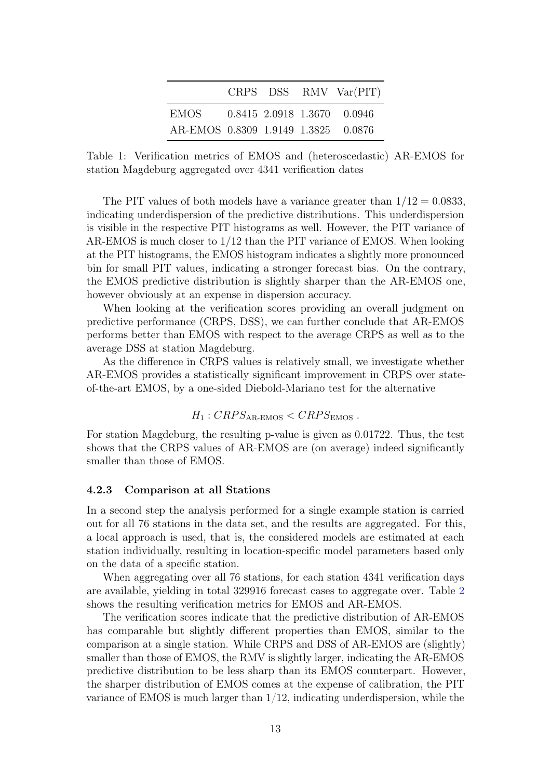|                                     |  | CRPS $DSS$ RMV $Var(PIT)$   |
|-------------------------------------|--|-----------------------------|
| EMOS -                              |  | 0.8415 2.0918 1.3670 0.0946 |
| AR-EMOS 0.8309 1.9149 1.3825 0.0876 |  |                             |

<span id="page-12-0"></span>Table 1: Verification metrics of EMOS and (heteroscedastic) AR-EMOS for station Magdeburg aggregated over 4341 verification dates

The PIT values of both models have a variance greater than  $1/12 = 0.0833$ . indicating underdispersion of the predictive distributions. This underdispersion is visible in the respective PIT histograms as well. However, the PIT variance of AR-EMOS is much closer to 1/12 than the PIT variance of EMOS. When looking at the PIT histograms, the EMOS histogram indicates a slightly more pronounced bin for small PIT values, indicating a stronger forecast bias. On the contrary, the EMOS predictive distribution is slightly sharper than the AR-EMOS one, however obviously at an expense in dispersion accuracy.

When looking at the verification scores providing an overall judgment on predictive performance (CRPS, DSS), we can further conclude that AR-EMOS performs better than EMOS with respect to the average CRPS as well as to the average DSS at station Magdeburg.

As the difference in CRPS values is relatively small, we investigate whether AR-EMOS provides a statistically significant improvement in CRPS over stateof-the-art EMOS, by a one-sided Diebold-Mariano test for the alternative

## $H_1$ :  $CRPS_{AR\text{-EMOS}} < CRPS_{EMOS}$ .

For station Magdeburg, the resulting p-value is given as 0.01722. Thus, the test shows that the CRPS values of AR-EMOS are (on average) indeed significantly smaller than those of EMOS.

#### 4.2.3 Comparison at all Stations

In a second step the analysis performed for a single example station is carried out for all 76 stations in the data set, and the results are aggregated. For this, a local approach is used, that is, the considered models are estimated at each station individually, resulting in location-specific model parameters based only on the data of a specific station.

When aggregating over all 76 stations, for each station 4341 verification days are available, yielding in total 329916 forecast cases to aggregate over. Table [2](#page-13-1) shows the resulting verification metrics for EMOS and AR-EMOS.

The verification scores indicate that the predictive distribution of AR-EMOS has comparable but slightly different properties than EMOS, similar to the comparison at a single station. While CRPS and DSS of AR-EMOS are (slightly) smaller than those of EMOS, the RMV is slightly larger, indicating the AR-EMOS predictive distribution to be less sharp than its EMOS counterpart. However, the sharper distribution of EMOS comes at the expense of calibration, the PIT variance of EMOS is much larger than  $1/12$ , indicating underdispersion, while the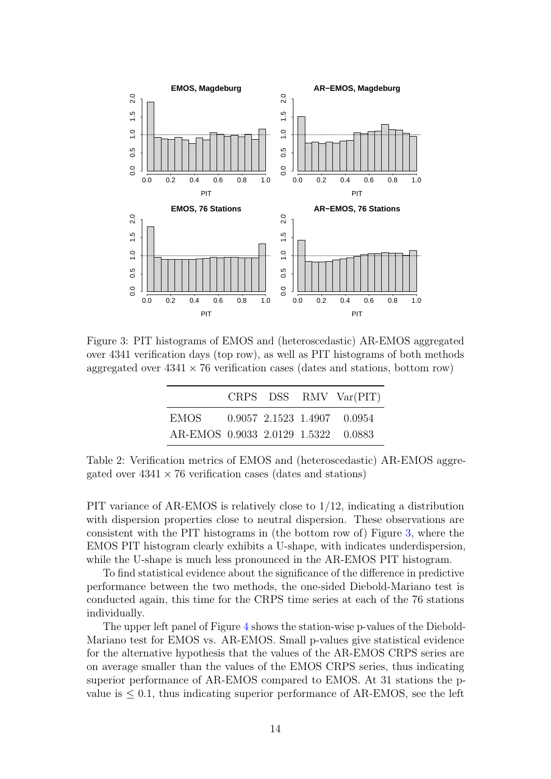

<span id="page-13-0"></span>Figure 3: PIT histograms of EMOS and (heteroscedastic) AR-EMOS aggregated over 4341 verification days (top row), as well as PIT histograms of both methods aggregated over  $4341 \times 76$  verification cases (dates and stations, bottom row)

|                                     |  | CRPS DSS RMV Var(PIT) |
|-------------------------------------|--|-----------------------|
| EMOS 0.9057 2.1523 1.4907 0.0954    |  |                       |
| AR-EMOS 0.9033 2.0129 1.5322 0.0883 |  |                       |

<span id="page-13-1"></span>Table 2: Verification metrics of EMOS and (heteroscedastic) AR-EMOS aggregated over  $4341 \times 76$  verification cases (dates and stations)

PIT variance of AR-EMOS is relatively close to 1/12, indicating a distribution with dispersion properties close to neutral dispersion. These observations are consistent with the PIT histograms in (the bottom row of) Figure [3,](#page-13-0) where the EMOS PIT histogram clearly exhibits a U-shape, with indicates underdispersion, while the U-shape is much less pronounced in the AR-EMOS PIT histogram.

To find statistical evidence about the significance of the difference in predictive performance between the two methods, the one-sided Diebold-Mariano test is conducted again, this time for the CRPS time series at each of the 76 stations individually.

The upper left panel of Figure [4](#page-14-0) shows the station-wise p-values of the Diebold-Mariano test for EMOS vs. AR-EMOS. Small p-values give statistical evidence for the alternative hypothesis that the values of the AR-EMOS CRPS series are on average smaller than the values of the EMOS CRPS series, thus indicating superior performance of AR-EMOS compared to EMOS. At 31 stations the pvalue is  $\leq 0.1$ , thus indicating superior performance of AR-EMOS, see the left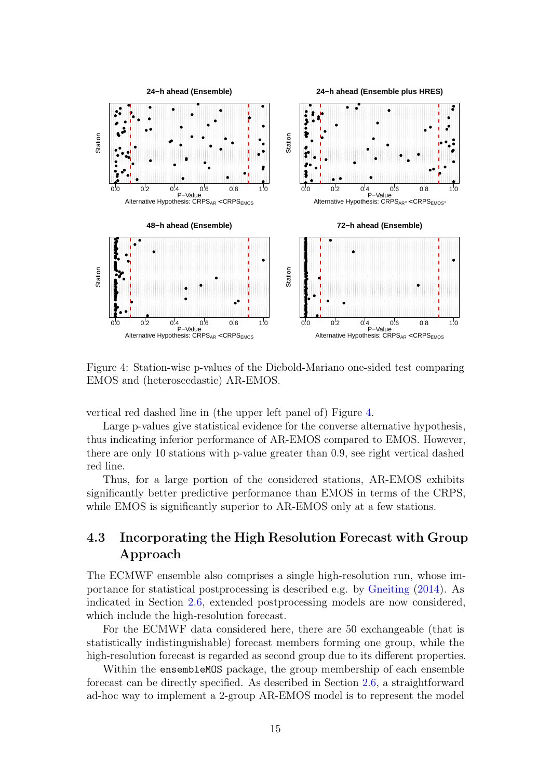

<span id="page-14-0"></span>Figure 4: Station-wise p-values of the Diebold-Mariano one-sided test comparing EMOS and (heteroscedastic) AR-EMOS.

vertical red dashed line in (the upper left panel of) Figure [4.](#page-14-0)

Large p-values give statistical evidence for the converse alternative hypothesis, thus indicating inferior performance of AR-EMOS compared to EMOS. However, there are only 10 stations with p-value greater than 0.9, see right vertical dashed red line.

Thus, for a large portion of the considered stations, AR-EMOS exhibits significantly better predictive performance than EMOS in terms of the CRPS, while EMOS is significantly superior to AR-EMOS only at a few stations.

## 4.3 Incorporating the High Resolution Forecast with Group Approach

The ECMWF ensemble also comprises a single high-resolution run, whose importance for statistical postprocessing is described e.g. by [Gneiting](#page-21-6) [\(2014\)](#page-21-6). As indicated in Section [2.6,](#page-5-1) extended postprocessing models are now considered, which include the high-resolution forecast.

For the ECMWF data considered here, there are 50 exchangeable (that is statistically indistinguishable) forecast members forming one group, while the high-resolution forecast is regarded as second group due to its different properties.

Within the ensembleMOS package, the group membership of each ensemble forecast can be directly specified. As described in Section [2.6,](#page-5-1) a straightforward ad-hoc way to implement a 2-group AR-EMOS model is to represent the model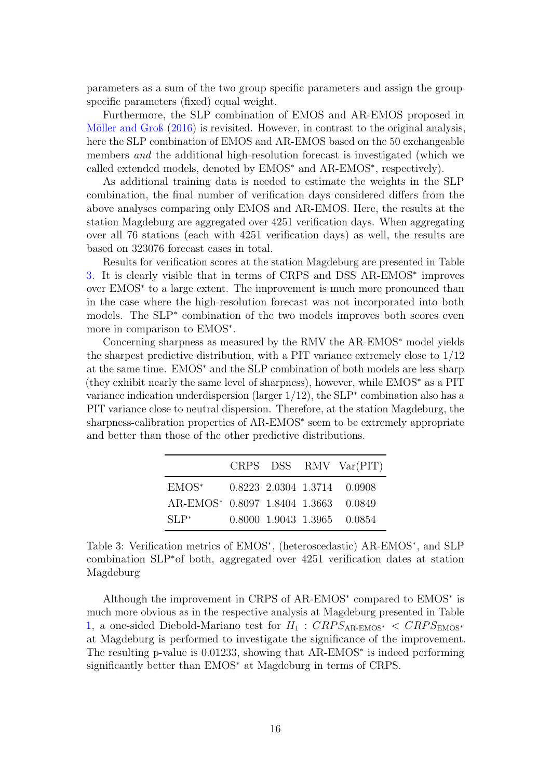parameters as a sum of the two group specific parameters and assign the groupspecific parameters (fixed) equal weight.

Furthermore, the SLP combination of EMOS and AR-EMOS proposed in [Möller and Groß](#page-23-6) [\(2016\)](#page-23-6) is revisited. However, in contrast to the original analysis, here the SLP combination of EMOS and AR-EMOS based on the 50 exchangeable members and the additional high-resolution forecast is investigated (which we called extended models, denoted by EMOS<sup>∗</sup> and AR-EMOS<sup>∗</sup> , respectively).

As additional training data is needed to estimate the weights in the SLP combination, the final number of verification days considered differs from the above analyses comparing only EMOS and AR-EMOS. Here, the results at the station Magdeburg are aggregated over 4251 verification days. When aggregating over all 76 stations (each with 4251 verification days) as well, the results are based on 323076 forecast cases in total.

Results for verification scores at the station Magdeburg are presented in Table [3.](#page-15-0) It is clearly visible that in terms of CRPS and DSS AR-EMOS<sup>∗</sup> improves over EMOS<sup>∗</sup> to a large extent. The improvement is much more pronounced than in the case where the high-resolution forecast was not incorporated into both models. The SLP<sup>∗</sup> combination of the two models improves both scores even more in comparison to EMOS<sup>∗</sup> .

Concerning sharpness as measured by the RMV the AR-EMOS<sup>∗</sup> model yields the sharpest predictive distribution, with a PIT variance extremely close to 1/12 at the same time. EMOS<sup>∗</sup> and the SLP combination of both models are less sharp (they exhibit nearly the same level of sharpness), however, while EMOS<sup>∗</sup> as a PIT variance indication underdispersion (larger 1/12), the SLP<sup>∗</sup> combination also has a PIT variance close to neutral dispersion. Therefore, at the station Magdeburg, the sharpness-calibration properties of AR-EMOS<sup>∗</sup> seem to be extremely appropriate and better than those of the other predictive distributions.

|                                      |  | CRPS DSS RMV Var(PIT)       |
|--------------------------------------|--|-----------------------------|
| EMOS*                                |  | 0.8223 2.0304 1.3714 0.0908 |
| AR-EMOS* 0.8097 1.8404 1.3663 0.0849 |  |                             |
| $\rm SI.P^*$                         |  | 0.8000 1.9043 1.3965 0.0854 |

<span id="page-15-0"></span>Table 3: Verification metrics of EMOS<sup>\*</sup>, (heteroscedastic) AR-EMOS<sup>\*</sup>, and SLP combination SLP<sup>∗</sup>of both, aggregated over 4251 verification dates at station Magdeburg

Although the improvement in CRPS of AR-EMOS<sup>∗</sup> compared to EMOS<sup>∗</sup> is much more obvious as in the respective analysis at Magdeburg presented in Table [1,](#page-12-0) a one-sided Diebold-Mariano test for  $H_1$ :  $CRPS_{AR\text{-}EMOS^*}$  <  $CRPS_{EMOS^*}$ at Magdeburg is performed to investigate the significance of the improvement. The resulting p-value is 0.01233, showing that AR-EMOS<sup>∗</sup> is indeed performing significantly better than EMOS<sup>∗</sup> at Magdeburg in terms of CRPS.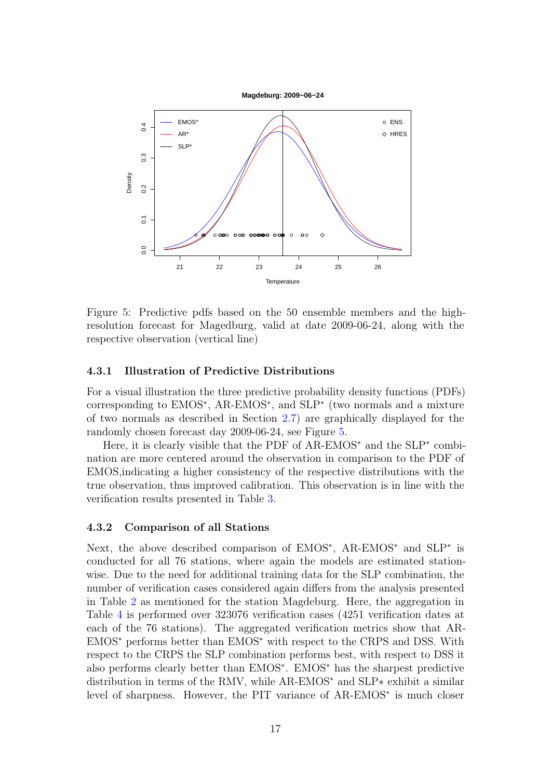



<span id="page-16-0"></span>Figure 5: Predictive pdfs based on the 50 ensemble members and the highresolution forecast for Magedburg, valid at date 2009-06-24, along with the respective observation (vertical line)

#### 4.3.1 Illustration of Predictive Distributions

For a visual illustration the three predictive probability density functions (PDFs) corresponding to EMOS<sup>∗</sup> , AR-EMOS<sup>∗</sup> , and SLP<sup>∗</sup> (two normals and a mixture of two normals as described in Section [2.7\)](#page-6-0) are graphically displayed for the randomly chosen forecast day 2009-06-24, see Figure [5.](#page-16-0)

Here, it is clearly visible that the PDF of AR-EMOS<sup>\*</sup> and the SLP<sup>\*</sup> combination are more centered around the observation in comparison to the PDF of EMOS,indicating a higher consistency of the respective distributions with the true observation, thus improved calibration. This observation is in line with the verification results presented in Table [3.](#page-15-0)

#### 4.3.2 Comparison of all Stations

Next, the above described comparison of EMOS<sup>\*</sup>, AR-EMOS<sup>\*</sup> and SLP<sup>\*</sup> is conducted for all 76 stations, where again the models are estimated stationwise. Due to the need for additional training data for the SLP combination, the number of verification cases considered again differs from the analysis presented in Table [2](#page-13-1) as mentioned for the station Magdeburg. Here, the aggregation in Table [4](#page-17-0) is performed over 323076 verification cases (4251 verification dates at each of the 76 stations). The aggregated verification metrics show that AR-EMOS<sup>∗</sup> performs better than EMOS<sup>∗</sup> with respect to the CRPS and DSS. With respect to the CRPS the SLP combination performs best, with respect to DSS it also performs clearly better than EMOS<sup>∗</sup> . EMOS<sup>∗</sup> has the sharpest predictive distribution in terms of the RMV, while AR-EMOS<sup>∗</sup> and SLP∗ exhibit a similar level of sharpness. However, the PIT variance of AR-EMOS<sup>∗</sup> is much closer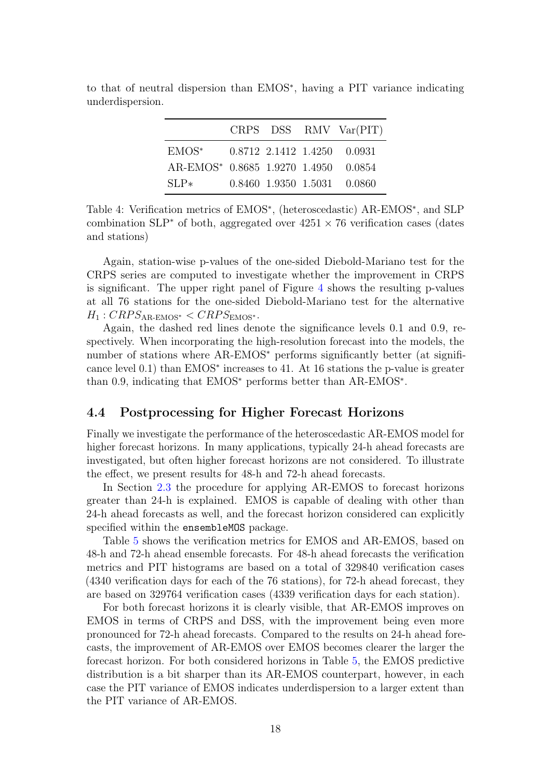|                                      |  | CRPS DSS RMV Var(PIT)         |
|--------------------------------------|--|-------------------------------|
| EMOS*                                |  | $0.8712$ 2.1412 1.4250 0.0931 |
| AR-EMOS* 0.8685 1.9270 1.4950 0.0854 |  |                               |
| $SLP*$                               |  | 0.8460 1.9350 1.5031 0.0860   |

to that of neutral dispersion than EMOS<sup>∗</sup> , having a PIT variance indicating underdispersion.

<span id="page-17-0"></span>Table 4: Verification metrics of EMOS<sup>∗</sup> , (heteroscedastic) AR-EMOS<sup>∗</sup> , and SLP combination SLP<sup> $*$ </sup> of both, aggregated over  $4251 \times 76$  verification cases (dates and stations)

Again, station-wise p-values of the one-sided Diebold-Mariano test for the CRPS series are computed to investigate whether the improvement in CRPS is significant. The upper right panel of Figure [4](#page-14-0) shows the resulting p-values at all 76 stations for the one-sided Diebold-Mariano test for the alternative  $H_1$ :  $CRPS_{AR\text{-}EMOS^*} < CRPS_{EMOS^*}$ .

Again, the dashed red lines denote the significance levels 0.1 and 0.9, respectively. When incorporating the high-resolution forecast into the models, the number of stations where AR-EMOS<sup>∗</sup> performs significantly better (at significance level 0.1) than EMOS<sup>∗</sup> increases to 41. At 16 stations the p-value is greater than 0.9, indicating that EMOS<sup>∗</sup> performs better than AR-EMOS<sup>∗</sup> .

### 4.4 Postprocessing for Higher Forecast Horizons

Finally we investigate the performance of the heteroscedastic AR-EMOS model for higher forecast horizons. In many applications, typically 24-h ahead forecasts are investigated, but often higher forecast horizons are not considered. To illustrate the effect, we present results for 48-h and 72-h ahead forecasts.

In Section [2.3](#page-4-2) the procedure for applying AR-EMOS to forecast horizons greater than 24-h is explained. EMOS is capable of dealing with other than 24-h ahead forecasts as well, and the forecast horizon considered can explicitly specified within the ensembleMOS package.

Table [5](#page-18-0) shows the verification metrics for EMOS and AR-EMOS, based on 48-h and 72-h ahead ensemble forecasts. For 48-h ahead forecasts the verification metrics and PIT histograms are based on a total of 329840 verification cases (4340 verification days for each of the 76 stations), for 72-h ahead forecast, they are based on 329764 verification cases (4339 verification days for each station).

For both forecast horizons it is clearly visible, that AR-EMOS improves on EMOS in terms of CRPS and DSS, with the improvement being even more pronounced for 72-h ahead forecasts. Compared to the results on 24-h ahead forecasts, the improvement of AR-EMOS over EMOS becomes clearer the larger the forecast horizon. For both considered horizons in Table [5,](#page-18-0) the EMOS predictive distribution is a bit sharper than its AR-EMOS counterpart, however, in each case the PIT variance of EMOS indicates underdispersion to a larger extent than the PIT variance of AR-EMOS.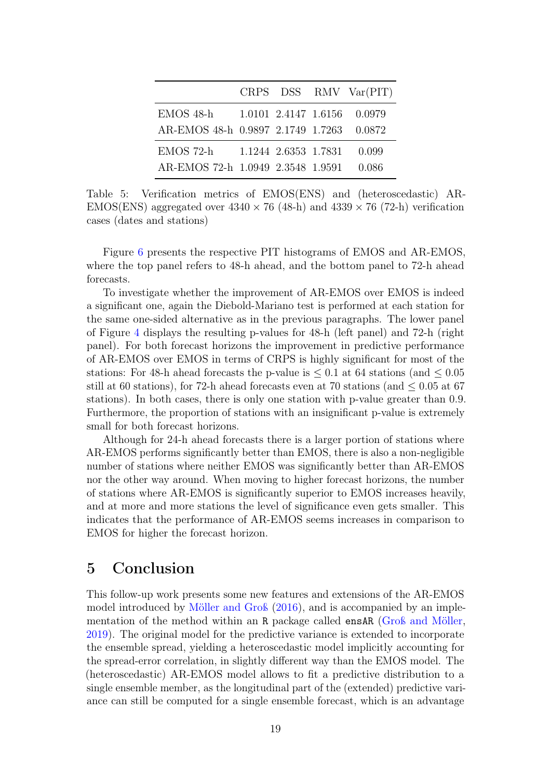|                                                       |                      | CRPS DSS RMV Var(PIT)       |
|-------------------------------------------------------|----------------------|-----------------------------|
| EMOS 48-h<br>AR-EMOS 48-h 0.9897 2.1749 1.7263 0.0872 |                      | 1.0101 2.4147 1.6156 0.0979 |
| $EMOS$ 72-h                                           | 1.1244 2.6353 1.7831 | 0.099                       |
| AR-EMOS 72-h 1.0949 2.3548 1.9591                     |                      | 0.086                       |

<span id="page-18-0"></span>Table 5: Verification metrics of EMOS(ENS) and (heteroscedastic) AR-EMOS(ENS) aggregated over  $4340 \times 76$  (48-h) and  $4339 \times 76$  (72-h) verification cases (dates and stations)

Figure [6](#page-19-0) presents the respective PIT histograms of EMOS and AR-EMOS, where the top panel refers to 48-h ahead, and the bottom panel to 72-h ahead forecasts.

To investigate whether the improvement of AR-EMOS over EMOS is indeed a significant one, again the Diebold-Mariano test is performed at each station for the same one-sided alternative as in the previous paragraphs. The lower panel of Figure [4](#page-14-0) displays the resulting p-values for 48-h (left panel) and 72-h (right panel). For both forecast horizons the improvement in predictive performance of AR-EMOS over EMOS in terms of CRPS is highly significant for most of the stations: For 48-h ahead forecasts the p-value is  $\leq 0.1$  at 64 stations (and  $\leq 0.05$ ) still at 60 stations), for 72-h ahead forecasts even at 70 stations (and  $\leq 0.05$  at 67 stations). In both cases, there is only one station with p-value greater than 0.9. Furthermore, the proportion of stations with an insignificant p-value is extremely small for both forecast horizons.

Although for 24-h ahead forecasts there is a larger portion of stations where AR-EMOS performs significantly better than EMOS, there is also a non-negligible number of stations where neither EMOS was significantly better than AR-EMOS nor the other way around. When moving to higher forecast horizons, the number of stations where AR-EMOS is significantly superior to EMOS increases heavily, and at more and more stations the level of significance even gets smaller. This indicates that the performance of AR-EMOS seems increases in comparison to EMOS for higher the forecast horizon.

## 5 Conclusion

This follow-up work presents some new features and extensions of the AR-EMOS model introduced by [Möller and Groß](#page-23-6) [\(2016\)](#page-23-6), and is accompanied by an implementation of the method within an R package called ensAR [\(Groß and Möller,](#page-22-8) [2019\)](#page-22-8). The original model for the predictive variance is extended to incorporate the ensemble spread, yielding a heteroscedastic model implicitly accounting for the spread-error correlation, in slightly different way than the EMOS model. The (heteroscedastic) AR-EMOS model allows to fit a predictive distribution to a single ensemble member, as the longitudinal part of the (extended) predictive variance can still be computed for a single ensemble forecast, which is an advantage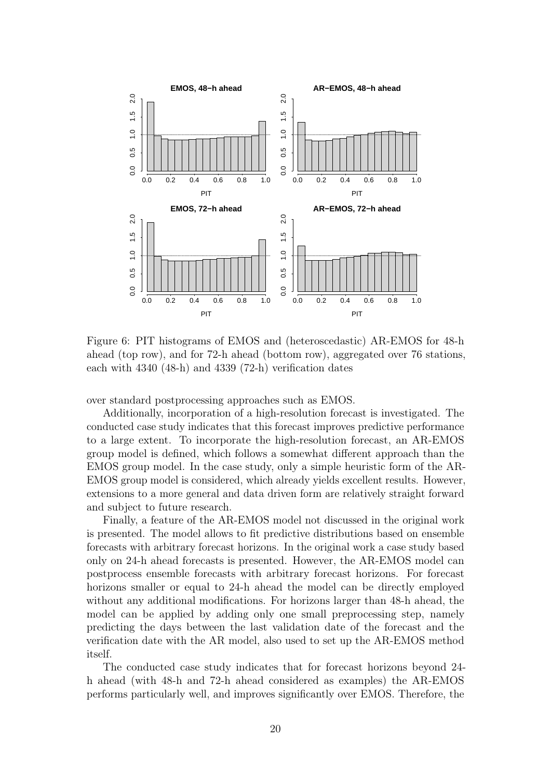

<span id="page-19-0"></span>Figure 6: PIT histograms of EMOS and (heteroscedastic) AR-EMOS for 48-h ahead (top row), and for 72-h ahead (bottom row), aggregated over 76 stations, each with 4340 (48-h) and 4339 (72-h) verification dates

over standard postprocessing approaches such as EMOS.

Additionally, incorporation of a high-resolution forecast is investigated. The conducted case study indicates that this forecast improves predictive performance to a large extent. To incorporate the high-resolution forecast, an AR-EMOS group model is defined, which follows a somewhat different approach than the EMOS group model. In the case study, only a simple heuristic form of the AR-EMOS group model is considered, which already yields excellent results. However, extensions to a more general and data driven form are relatively straight forward and subject to future research.

Finally, a feature of the AR-EMOS model not discussed in the original work is presented. The model allows to fit predictive distributions based on ensemble forecasts with arbitrary forecast horizons. In the original work a case study based only on 24-h ahead forecasts is presented. However, the AR-EMOS model can postprocess ensemble forecasts with arbitrary forecast horizons. For forecast horizons smaller or equal to 24-h ahead the model can be directly employed without any additional modifications. For horizons larger than 48-h ahead, the model can be applied by adding only one small preprocessing step, namely predicting the days between the last validation date of the forecast and the verification date with the AR model, also used to set up the AR-EMOS method itself.

The conducted case study indicates that for forecast horizons beyond 24 h ahead (with 48-h and 72-h ahead considered as examples) the AR-EMOS performs particularly well, and improves significantly over EMOS. Therefore, the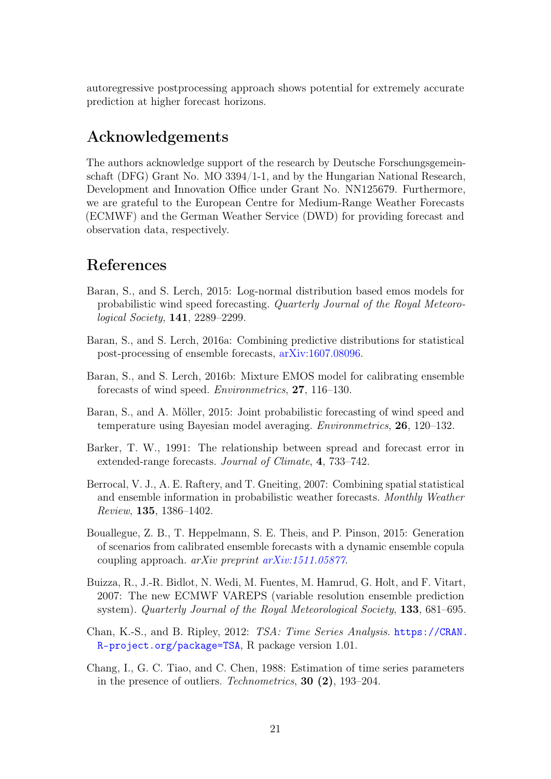autoregressive postprocessing approach shows potential for extremely accurate prediction at higher forecast horizons.

## Acknowledgements

The authors acknowledge support of the research by Deutsche Forschungsgemeinschaft (DFG) Grant No. MO 3394/1-1, and by the Hungarian National Research, Development and Innovation Office under Grant No. NN125679. Furthermore, we are grateful to the European Centre for Medium-Range Weather Forecasts (ECMWF) and the German Weather Service (DWD) for providing forecast and observation data, respectively.

## References

- Baran, S., and S. Lerch, 2015: Log-normal distribution based emos models for probabilistic wind speed forecasting. Quarterly Journal of the Royal Meteorological Society, 141, 2289–2299.
- Baran, S., and S. Lerch, 2016a: Combining predictive distributions for statistical post-processing of ensemble forecasts, [arXiv:1607.08096.](http://arxiv.org/abs/1607.08096)
- Baran, S., and S. Lerch, 2016b: Mixture EMOS model for calibrating ensemble forecasts of wind speed. Environmetrics, 27, 116–130.
- <span id="page-20-0"></span>Baran, S., and A. Möller, 2015: Joint probabilistic forecasting of wind speed and temperature using Bayesian model averaging. Environmetrics, 26, 120–132.
- <span id="page-20-3"></span>Barker, T. W., 1991: The relationship between spread and forecast error in extended-range forecasts. Journal of Climate, 4, 733–742.
- <span id="page-20-2"></span>Berrocal, V. J., A. E. Raftery, and T. Gneiting, 2007: Combining spatial statistical and ensemble information in probabilistic weather forecasts. Monthly Weather Review, 135, 1386–1402.
- <span id="page-20-1"></span>Bouallegue, Z. B., T. Heppelmann, S. E. Theis, and P. Pinson, 2015: Generation of scenarios from calibrated ensemble forecasts with a dynamic ensemble copula coupling approach. arXiv preprint [arXiv:1511.05877](http://arxiv.org/abs/1511.05877).
- <span id="page-20-4"></span>Buizza, R., J.-R. Bidlot, N. Wedi, M. Fuentes, M. Hamrud, G. Holt, and F. Vitart, 2007: The new ECMWF VAREPS (variable resolution ensemble prediction system). Quarterly Journal of the Royal Meteorological Society, 133, 681–695.
- <span id="page-20-6"></span>Chan, K.-S., and B. Ripley, 2012: TSA: Time Series Analysis. [https://CRAN.](https://CRAN.R-project.org/package=TSA) [R-project.org/package=TSA](https://CRAN.R-project.org/package=TSA), R package version 1.01.
- <span id="page-20-5"></span>Chang, I., G. C. Tiao, and C. Chen, 1988: Estimation of time series parameters in the presence of outliers. Technometrics, 30 (2), 193–204.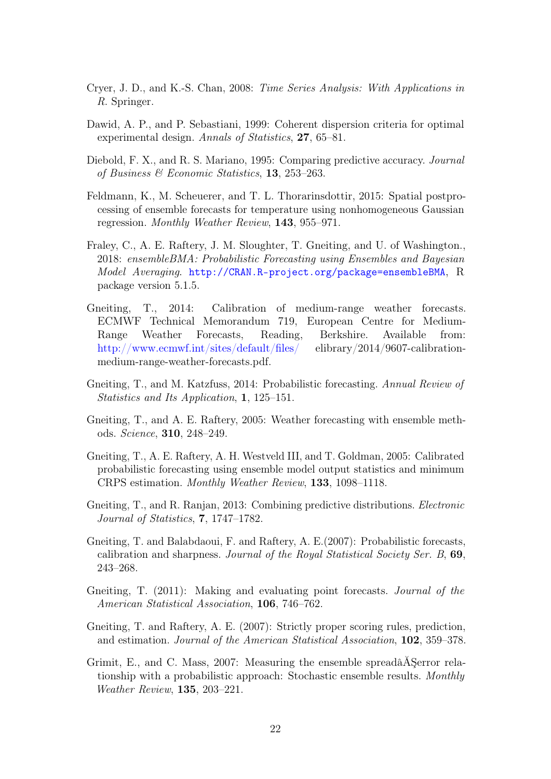- <span id="page-21-5"></span>Cryer, J. D., and K.-S. Chan, 2008: Time Series Analysis: With Applications in R. Springer.
- <span id="page-21-11"></span>Dawid, A. P., and P. Sebastiani, 1999: Coherent dispersion criteria for optimal experimental design. Annals of Statistics, 27, 65–81.
- <span id="page-21-12"></span>Diebold, F. X., and R. S. Mariano, 1995: Comparing predictive accuracy. Journal of Business & Economic Statistics, 13, 253–263.
- <span id="page-21-3"></span>Feldmann, K., M. Scheuerer, and T. L. Thorarinsdottir, 2015: Spatial postprocessing of ensemble forecasts for temperature using nonhomogeneous Gaussian regression. Monthly Weather Review, 143, 955–971.
- <span id="page-21-4"></span>Fraley, C., A. E. Raftery, J. M. Sloughter, T. Gneiting, and U. of Washington., 2018: ensembleBMA: Probabilistic Forecasting using Ensembles and Bayesian Model Averaging. <http://CRAN.R-project.org/package=ensembleBMA>, R package version 5.1.5.
- <span id="page-21-6"></span>Gneiting, T., 2014: Calibration of medium-range weather forecasts. ECMWF Technical Memorandum 719, European Centre for Medium-Range Weather Forecasts, Reading, Berkshire. Available from: <http://www.ecmwf.int/sites/default/files/> elibrary/2014/9607-calibrationmedium-range-weather-forecasts.pdf.
- <span id="page-21-1"></span>Gneiting, T., and M. Katzfuss, 2014: Probabilistic forecasting. Annual Review of Statistics and Its Application, 1, 125–151.
- <span id="page-21-0"></span>Gneiting, T., and A. E. Raftery, 2005: Weather forecasting with ensemble methods. Science, 310, 248–249.
- <span id="page-21-2"></span>Gneiting, T., A. E. Raftery, A. H. Westveld III, and T. Goldman, 2005: Calibrated probabilistic forecasting using ensemble model output statistics and minimum CRPS estimation. Monthly Weather Review, 133, 1098–1118.
- <span id="page-21-7"></span>Gneiting, T., and R. Ranjan, 2013: Combining predictive distributions. *Electronic* Journal of Statistics, 7, 1747–1782.
- <span id="page-21-10"></span>Gneiting, T. and Balabdaoui, F. and Raftery, A. E.(2007): Probabilistic forecasts, calibration and sharpness. Journal of the Royal Statistical Society Ser. B, 69, 243–268.
- <span id="page-21-8"></span>Gneiting, T. (2011): Making and evaluating point forecasts. Journal of the American Statistical Association, 106, 746–762.
- <span id="page-21-9"></span>Gneiting, T. and Raftery, A. E. (2007): Strictly proper scoring rules, prediction, and estimation. Journal of the American Statistical Association, 102, 359–378.
- Grimit, E., and C. Mass, 2007: Measuring the ensemble spreadâĂŞerror relationship with a probabilistic approach: Stochastic ensemble results. Monthly Weather Review, 135, 203–221.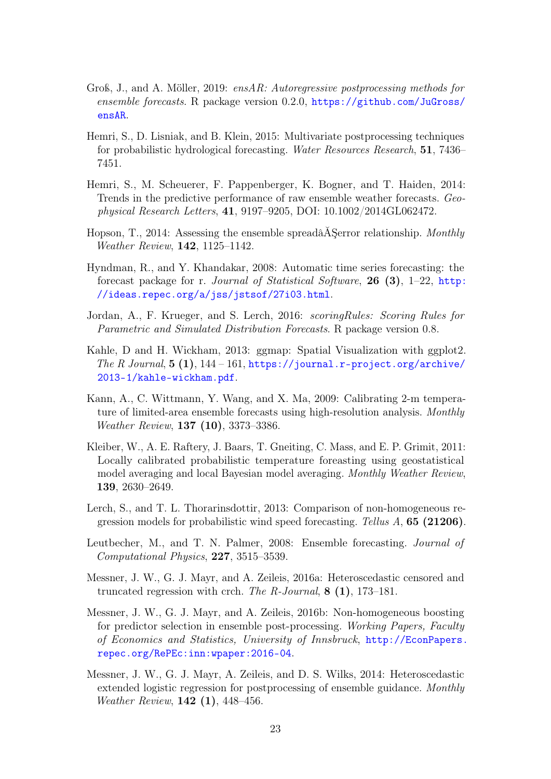- <span id="page-22-8"></span>Groß, J., and A. Möller, 2019: ensAR: Autoregressive postprocessing methods for ensemble forecasts. R package version 0.2.0, [https://github.com/JuGross/](https://github.com/JuGross/ensAR) [ensAR](https://github.com/JuGross/ensAR).
- <span id="page-22-3"></span>Hemri, S., D. Lisniak, and B. Klein, 2015: Multivariate postprocessing techniques for probabilistic hydrological forecasting. Water Resources Research, 51, 7436– 7451.
- <span id="page-22-1"></span>Hemri, S., M. Scheuerer, F. Pappenberger, K. Bogner, and T. Haiden, 2014: Trends in the predictive performance of raw ensemble weather forecasts. Geophysical Research Letters, 41, 9197–9205, DOI: 10.1002/2014GL062472.
- Hopson, T., 2014: Assessing the ensemble spreadâÅ Serror relationship. Monthly Weather Review, 142, 1125–1142.
- <span id="page-22-11"></span>Hyndman, R., and Y. Khandakar, 2008: Automatic time series forecasting: the forecast package for r. Journal of Statistical Software, 26 (3),  $1-22$ , [http:](http://ideas.repec.org/a/jss/jstsof/27i03.html) [//ideas.repec.org/a/jss/jstsof/27i03.html](http://ideas.repec.org/a/jss/jstsof/27i03.html).
- <span id="page-22-7"></span>Jordan, A., F. Krueger, and S. Lerch, 2016: scoringRules: Scoring Rules for Parametric and Simulated Distribution Forecasts. R package version 0.8.
- <span id="page-22-10"></span>Kahle, D and H. Wickham, 2013: ggmap: Spatial Visualization with ggplot2. The R Journal,  $5(1)$ ,  $144-161$ , [https://journal.r-project.org/archive/](https://journal.r-project.org/archive/2013-1/kahle-wickham.pdf) [2013-1/kahle-wickham.pdf](https://journal.r-project.org/archive/2013-1/kahle-wickham.pdf).
- <span id="page-22-9"></span>Kann, A., C. Wittmann, Y. Wang, and X. Ma, 2009: Calibrating 2-m temperature of limited-area ensemble forecasts using high-resolution analysis. Monthly Weather Review, 137 (10), 3373–3386.
- <span id="page-22-2"></span>Kleiber, W., A. E. Raftery, J. Baars, T. Gneiting, C. Mass, and E. P. Grimit, 2011: Locally calibrated probabilistic temperature foreasting using geostatistical model averaging and local Bayesian model averaging. Monthly Weather Review, 139, 2630–2649.
- Lerch, S., and T. L. Thorarinsdottir, 2013: Comparison of non-homogeneous regression models for probabilistic wind speed forecasting. Tellus A, 65 (21206).
- <span id="page-22-0"></span>Leutbecher, M., and T. N. Palmer, 2008: Ensemble forecasting. Journal of Computational Physics, 227, 3515–3539.
- <span id="page-22-6"></span>Messner, J. W., G. J. Mayr, and A. Zeileis, 2016a: Heteroscedastic censored and truncated regression with crch. The R-Journal,  $8(1)$ , 173–181.
- <span id="page-22-5"></span>Messner, J. W., G. J. Mayr, and A. Zeileis, 2016b: Non-homogeneous boosting for predictor selection in ensemble post-processing. Working Papers, Faculty of Economics and Statistics, University of Innsbruck, [http://EconPapers.](http://EconPapers.repec.org/RePEc:inn:wpaper:2016-04) [repec.org/RePEc:inn:wpaper:2016-04](http://EconPapers.repec.org/RePEc:inn:wpaper:2016-04).
- <span id="page-22-4"></span>Messner, J. W., G. J. Mayr, A. Zeileis, and D. S. Wilks, 2014: Heteroscedastic extended logistic regression for postprocessing of ensemble guidance. Monthly Weather Review, 142 (1), 448–456.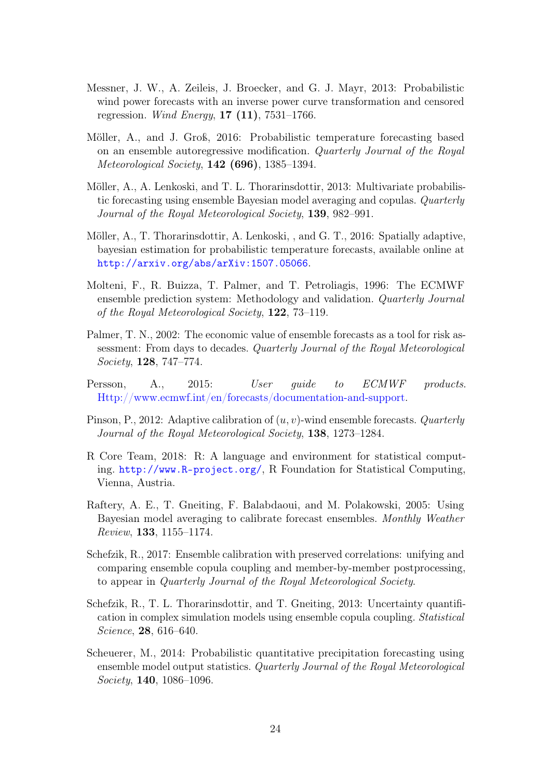- <span id="page-23-8"></span>Messner, J. W., A. Zeileis, J. Broecker, and G. J. Mayr, 2013: Probabilistic wind power forecasts with an inverse power curve transformation and censored regression. *Wind Energy*,  $17 (11)$ ,  $7531-1766$ .
- <span id="page-23-6"></span>Möller, A., and J. Groß, 2016: Probabilistic temperature forecasting based on an ensemble autoregressive modification. Quarterly Journal of the Royal Meteorological Society, 142 (696), 1385–1394.
- <span id="page-23-3"></span>Möller, A., A. Lenkoski, and T. L. Thorarinsdottir, 2013: Multivariate probabilistic forecasting using ensemble Bayesian model averaging and copulas. Quarterly Journal of the Royal Meteorological Society, 139, 982–991.
- <span id="page-23-5"></span>Möller, A., T. Thorarinsdottir, A. Lenkoski, , and G. T., 2016: Spatially adaptive, bayesian estimation for probabilistic temperature forecasts, available online at <http://arxiv.org/abs/arXiv:1507.05066>.
- <span id="page-23-11"></span>Molteni, F., R. Buizza, T. Palmer, and T. Petroliagis, 1996: The ECMWF ensemble prediction system: Methodology and validation. Quarterly Journal of the Royal Meteorological Society, 122, 73–119.
- <span id="page-23-0"></span>Palmer, T. N., 2002: The economic value of ensemble forecasts as a tool for risk assessment: From days to decades. Quarterly Journal of the Royal Meteorological Society, 128, 747–774.
- <span id="page-23-10"></span>Persson, A., 2015: User guide to ECMWF products. [Http://www.ecmwf.int/en/forecasts/documentation-and-support.](Http://www.ecmwf.int/en/forecasts/documentation-and-support)
- <span id="page-23-4"></span>Pinson, P., 2012: Adaptive calibration of  $(u, v)$ -wind ensemble forecasts. *Quarterly* Journal of the Royal Meteorological Society, 138, 1273–1284.
- <span id="page-23-7"></span>R Core Team, 2018: R: A language and environment for statistical computing. <http://www.R-project.org/>, R Foundation for Statistical Computing, Vienna, Austria.
- <span id="page-23-1"></span>Raftery, A. E., T. Gneiting, F. Balabdaoui, and M. Polakowski, 2005: Using Bayesian model averaging to calibrate forecast ensembles. Monthly Weather Review, 133, 1155–1174.
- <span id="page-23-9"></span>Schefzik, R., 2017: Ensemble calibration with preserved correlations: unifying and comparing ensemble copula coupling and member-by-member postprocessing, to appear in Quarterly Journal of the Royal Meteorological Society.
- <span id="page-23-2"></span>Schefzik, R., T. L. Thorarinsdottir, and T. Gneiting, 2013: Uncertainty quantification in complex simulation models using ensemble copula coupling. Statistical Science, 28, 616–640.
- Scheuerer, M., 2014: Probabilistic quantitative precipitation forecasting using ensemble model output statistics. Quarterly Journal of the Royal Meteorological Society, 140, 1086–1096.